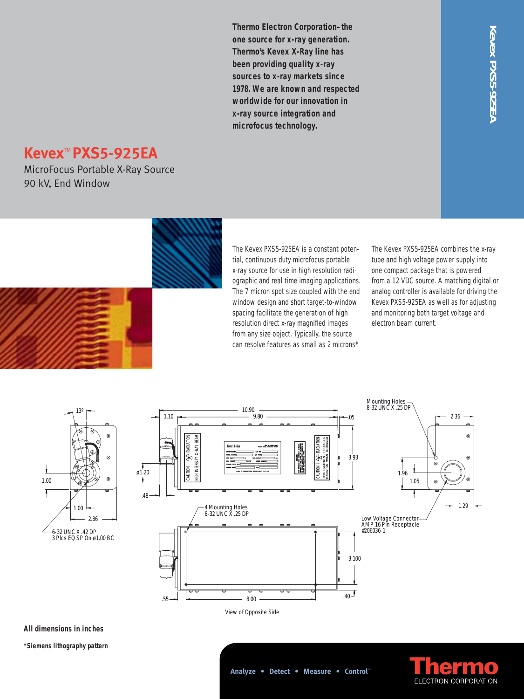**Thermo Electron Corporation–the one source for x-ray generation. Thermo's Kevex X-Ray line has been providing quality x-ray sources to x-ray markets since 1978. We are known and respected worldwide for our innovation in x-ray source integration and microfocus technology.**

# Kevex PXS5-925EP **Kevex PXS5-925EA**

# **Kevex**TM **PXS5-925EA**

MicroFocus Portable X-Ray Source 90 kV, End Window



The Kevex PXS5-925EA is a constant potential, continuous duty microfocus portable x-ray source for use in high resolution radiographic and real time imaging applications. The 7 micron spot size coupled with the end window design and short target-to-window spacing facilitate the generation of high resolution direct x-ray magnified images from any size object. Typically, the source can resolve features as small as 2 microns\*.

The Kevex PXS5-925EA combines the x-ray tube and high voltage power supply into one compact package that is powered from a 12 VDC source. A matching digital or analog controller is available for driving the Kevex PXS5-925EA as well as for adjusting and monitoring both target voltage and electron beam current.





**All dimensions in inches**

**\*Siemens lithography pattern**